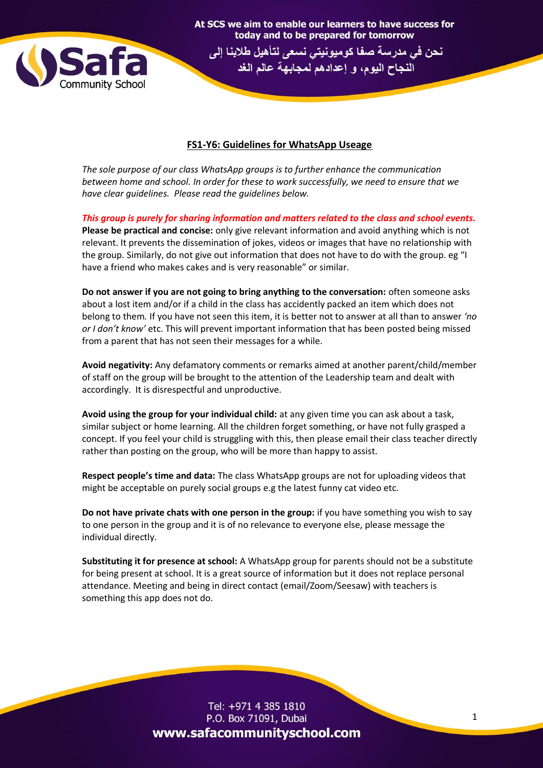

## **FS1-Y6: Guidelines for WhatsApp Useage**

At SCS we aim to enable our learners to have success for today and to be prepared for tomorrow نحن في مدرسة صفا كوميونيتي نسعى لتأهيل طلابنا إلى النجاح اليوم، و إعدادهم لمجابهة عالم الغد

*The sole purpose of our class WhatsApp groups is to further enhance the communication between home and school. In order for these to work successfully, we need to ensure that we have clear guidelines. Please read the guidelines below.* 

*This group is purely for sharing information and matters related to the class and school events.*

**Please be practical and concise:** only give relevant information and avoid anything which is not relevant. It prevents the dissemination of jokes, videos or images that have no relationship with the group. Similarly, do not give out information that does not have to do with the group. eg "I have a friend who makes cakes and is very reasonable" or similar.

**Do not answer if you are not going to bring anything to the conversation:** often someone asks about a lost item and/or if a child in the class has accidently packed an item which does not belong to them*.* If you have not seen this item, it is better not to answer at all than to answer *'no or I don't know'* etc. This will prevent important information that has been posted being missed from a parent that has not seen their messages for a while.

**Avoid negativity:** Any defamatory comments or remarks aimed at another parent/child/member of staff on the group will be brought to the attention of the Leadership team and dealt with accordingly. It is disrespectful and unproductive.

**Avoid using the group for your individual child:** at any given time you can ask about a task, similar subject or home learning. All the children forget something, or have not fully grasped a concept. If you feel your child is struggling with this, then please email their class teacher directly rather than posting on the group, who will be more than happy to assist.

**Respect people's time and data:** The class WhatsApp groups are not for uploading videos that might be acceptable on purely social groups e.g the latest funny cat video etc.

**Do not have private chats with one person in the group:** if you have something you wish to say to one person in the group and it is of no relevance to everyone else, please message the individual directly.

**Substituting it for presence at school:** A WhatsApp group for parents should not be a substitute for being present at school. It is a great source of information but it does not replace personal attendance. Meeting and being in direct contact (email/Zoom/Seesaw) with teachers is something this app does not do.

> Tel: +971 4 385 1810 P.O. Box 71091, Dubai www.safacommunityschool.com